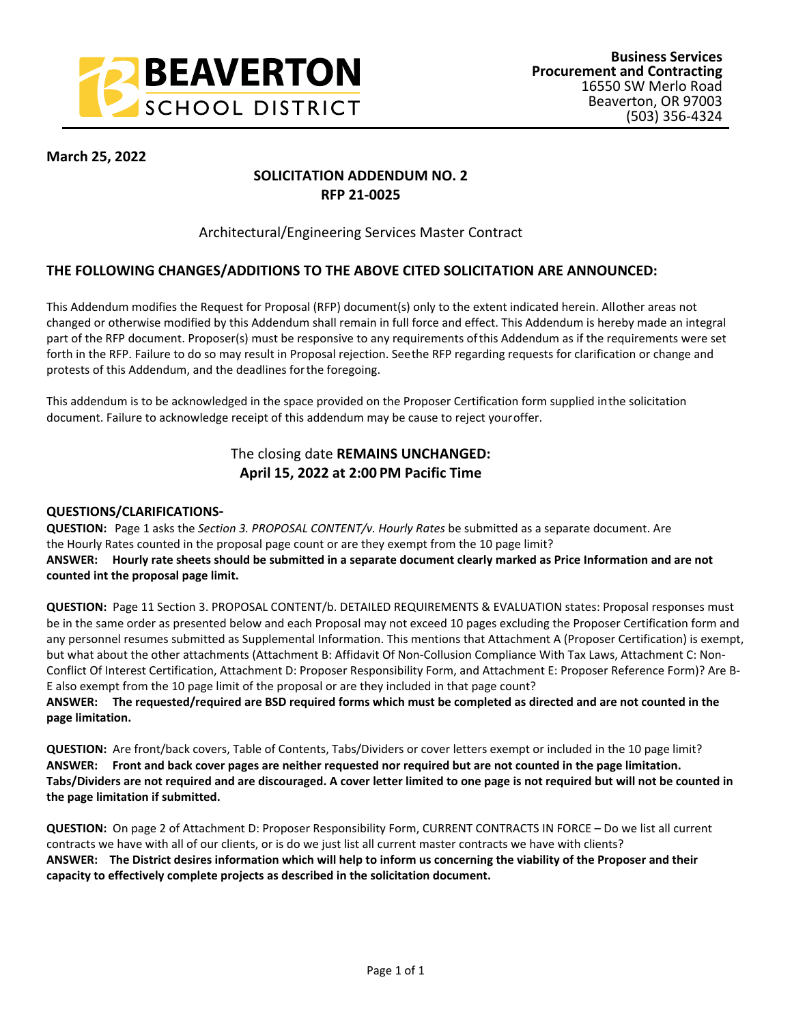

#### **March 25, 2022**

## **SOLICITATION ADDENDUM NO. 2 RFP 21-0025**

#### Architectural/Engineering Services Master Contract

### **THE FOLLOWING CHANGES/ADDITIONS TO THE ABOVE CITED SOLICITATION ARE ANNOUNCED:**

This Addendum modifies the Request for Proposal (RFP) document(s) only to the extent indicated herein. All other areas not changed or otherwise modified by this Addendum shall remain in full force and effect. This Addendum is hereby made an integral part of the RFP document. Proposer(s) must be responsive to any requirements of this Addendum as if the requirements were set forth in the RFP. Failure to do so may result in Proposal rejection. See the RFP regarding requests for clarification or change and protests of this Addendum, and the deadlines for the foregoing.

This addendum is to be acknowledged in the space provided on the Proposer Certification form supplied in the solicitation document. Failure to acknowledge receipt of this addendum may be cause to reject your offer.

# The closing date **REMAINS UNCHANGED: April 15, 2022 at 2:00 PM Pacific Time**

#### **QUESTIONS/CLARIFICATIONS-**

**QUESTION:** Page 1 asks the *Section 3. PROPOSAL CONTENT/v. Hourly Rates* be submitted as a separate document. Are the Hourly Rates counted in the proposal page count or are they exempt from the 10 page limit? **ANSWER: Hourly rate sheets should be submitted in a separate document clearly marked as Price Information and are not counted int the proposal page limit.**

**QUESTION:** Page 11 Section 3. PROPOSAL CONTENT/b. DETAILED REQUIREMENTS & EVALUATION states: Proposal responses must be in the same order as presented below and each Proposal may not exceed 10 pages excluding the Proposer Certification form and any personnel resumes submitted as Supplemental Information. This mentions that Attachment A (Proposer Certification) is exempt, but what about the other attachments (Attachment B: Affidavit Of Non-Collusion Compliance With Tax Laws, Attachment C: Non-Conflict Of Interest Certification, Attachment D: Proposer Responsibility Form, and Attachment E: Proposer Reference Form)? Are B-E also exempt from the 10 page limit of the proposal or are they included in that page count?

**ANSWER: The requested/required are BSD required forms which must be completed as directed and are not counted in the page limitation.**

**QUESTION:** Are front/back covers, Table of Contents, Tabs/Dividers or cover letters exempt or included in the 10 page limit? **ANSWER: Front and back cover pages are neither requested nor required but are not counted in the page limitation. Tabs/Dividers are not required and are discouraged. A cover letter limited to one page is not required but will not be counted in the page limitation if submitted.**

**QUESTION:** On page 2 of Attachment D: Proposer Responsibility Form, CURRENT CONTRACTS IN FORCE – Do we list all current contracts we have with all of our clients, or is do we just list all current master contracts we have with clients? **ANSWER: The District desires information which will help to inform us concerning the viability of the Proposer and their capacity to effectively complete projects as described in the solicitation document.**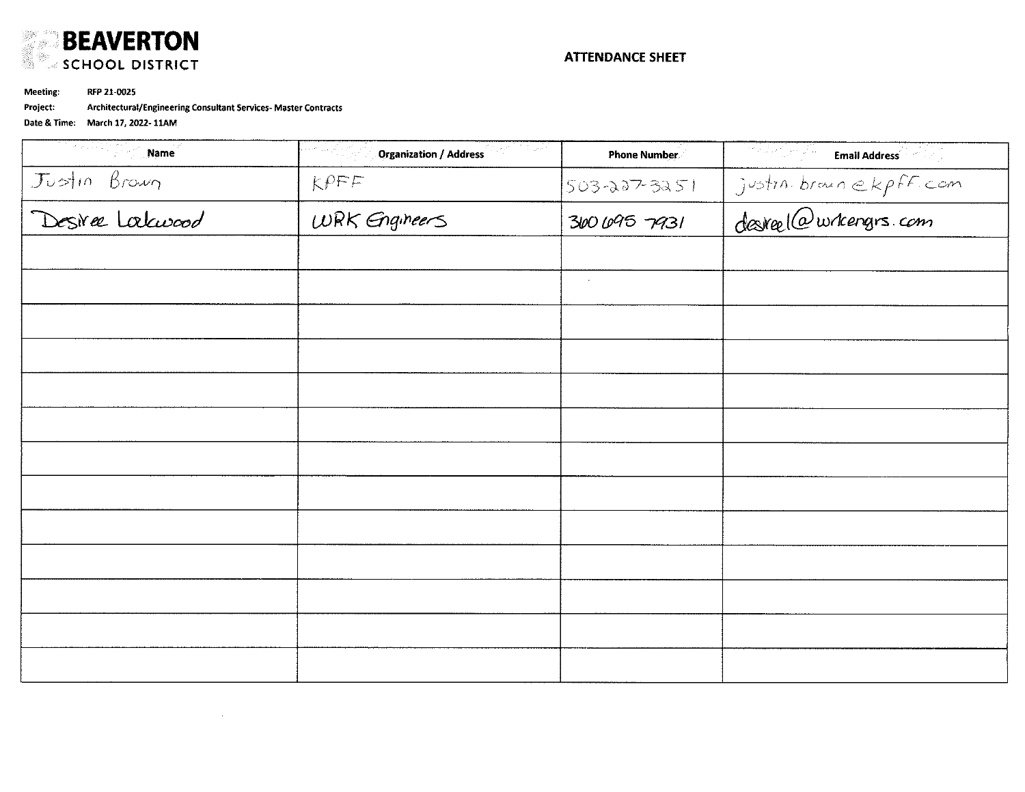

Meeting: RFP 21-0025

Architectural/Engineering Consultant Services- Master Contracts Project:

| ्यामध्ये अ<br>Name               | <b>Organization / Address</b><br>أفراده والمحالة | <b>Phone Number</b> | ी है जिसमें<br>iya m<br><b>Email Address Company</b> |
|----------------------------------|--------------------------------------------------|---------------------|------------------------------------------------------|
| Justin Brown<br>Desiree Laburood | $K$ $P$ $F$ $F$                                  | 503-227-3251        | justin brownekpff.com                                |
|                                  | WRK Engineers                                    | 3606957931          |                                                      |
|                                  |                                                  |                     |                                                      |
|                                  |                                                  | $\sim$              |                                                      |
|                                  |                                                  |                     |                                                      |
|                                  |                                                  |                     |                                                      |
|                                  |                                                  |                     |                                                      |
|                                  |                                                  |                     |                                                      |
|                                  |                                                  |                     |                                                      |
|                                  |                                                  |                     |                                                      |
|                                  |                                                  |                     |                                                      |
|                                  |                                                  |                     |                                                      |
|                                  |                                                  |                     |                                                      |
|                                  |                                                  |                     |                                                      |
|                                  |                                                  |                     |                                                      |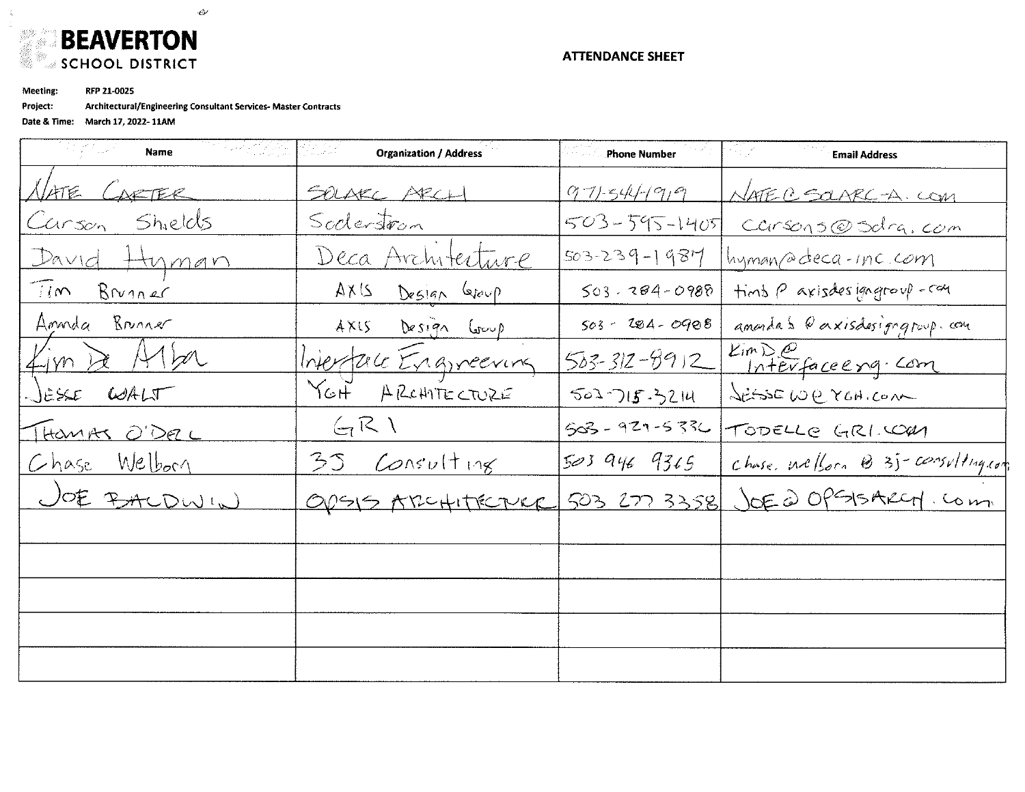

RFP 21-0025 Meeting:

Å,

Project: Architectural/Engineering Consultant Services- Master Contracts

 $\mathcal{L}^{(1)}$ 

| 전 사장의 정치<br><b>Organization / Address</b> | <b>Example 2 Phone Number</b> | <b>Email Address</b>              |
|-------------------------------------------|-------------------------------|-----------------------------------|
| SOLAKE ARCH                               | 971-544-1919                  | NATE C SOARC-A. COM               |
| Soderstron                                | 503-595-1405                  | Carsons@Sdra.com                  |
| Deca Architecture                         | $503 - 239 - 1987$            | hyman a deca-inc.com              |
| 214A<br>Deslan Gloup                      | $503 - 284 - 0988$            | Hind P axisdes gagroup-can        |
| AX15<br>Design Group                      | $503 - 284 - 0908$            | amonda's Conxisdesignatoup.com    |
|                                           | $503 - 312 - 9912$            | Eim De<br>Interfaceerg. Com       |
| YGH.<br>A REHATECTURE                     | 502715.3214                   | JESSEW CYCHICOM                   |
| $G$ $R$                                   | 503 - 929-5336                | TODELLE GRI.COM                   |
| 35<br>Concuting                           | 5039469365                    | chase wellom @ 35-consulting con  |
| ODSIS ARCHITECTURE                        |                               | 503 277 3358 JOE @ OPS15ARCH. Com |
|                                           |                               |                                   |
|                                           |                               |                                   |
|                                           |                               |                                   |
|                                           |                               |                                   |
|                                           |                               |                                   |
|                                           | Interface Engineering         |                                   |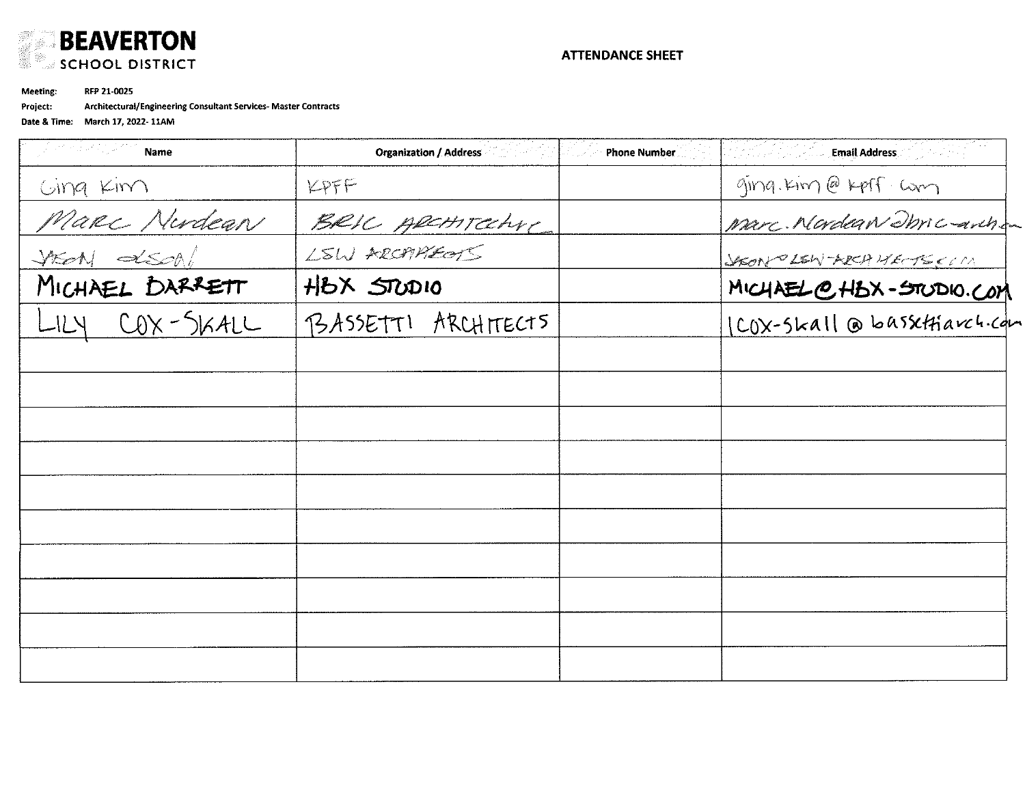

Meeting: RFP 21-0025

Project: Architectural/Engineering Consultant Services- Master Contracts

| Germany Stock<br>Name | <b>Organization / Address</b><br><b>Phone Number</b> | <b>Email Address</b>        |
|-----------------------|------------------------------------------------------|-----------------------------|
| Ging Kim              | KPFF                                                 | ging. Kim @ Kpff. Cam       |
|                       |                                                      | Marc. Monday Dhric anche    |
| Marc Nudean           | BRIC ARCHITECHYC                                     | SHORT LEW ARCH HECTECIM     |
| MICHAEL DARRETT       | HBX STUDIO                                           | MICHAEL @ HBX-STODIO.COM    |
| LILY COX-SKALL        | PSASSETTI ARCHITECTS                                 | ICOX-Skall @ basstHarch.com |
|                       |                                                      |                             |
|                       |                                                      |                             |
|                       |                                                      |                             |
|                       |                                                      |                             |
|                       |                                                      |                             |
|                       |                                                      |                             |
|                       |                                                      |                             |
|                       |                                                      |                             |
|                       |                                                      |                             |
|                       |                                                      |                             |
|                       |                                                      |                             |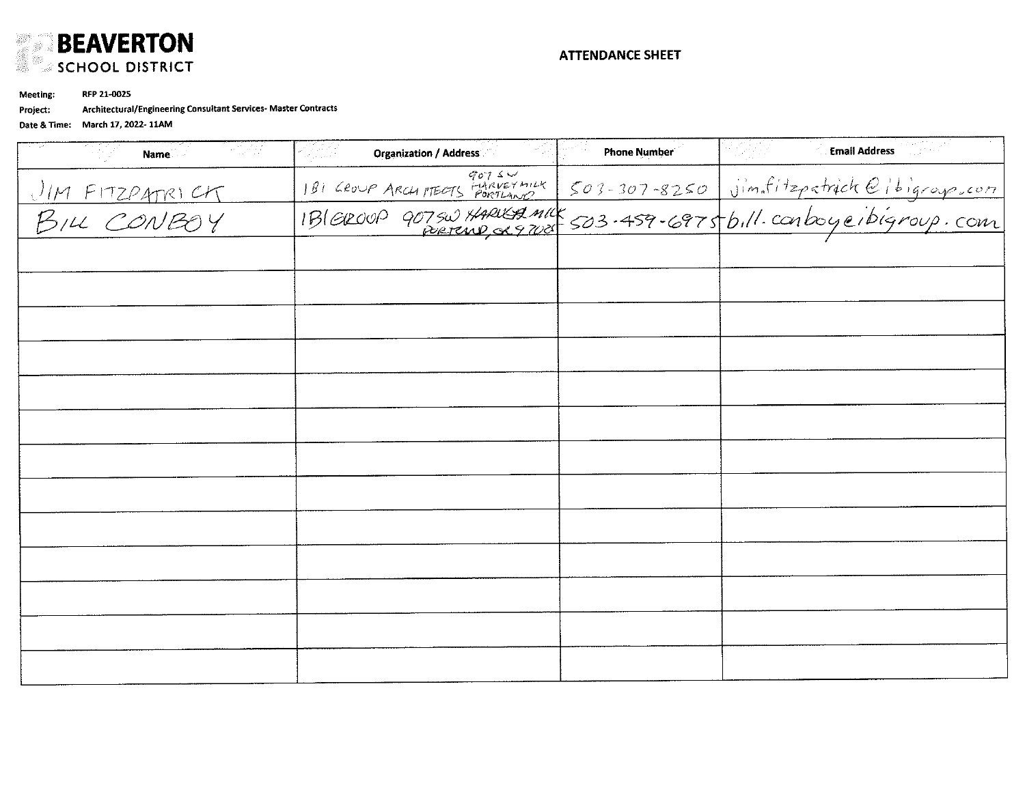

Meeting: RFP 21-0025

Architectural/Engineering Consultant Services-Master Contracts Project:

| $\sim 1.4\,M_\odot$<br>Name          | <b>Organization / Address</b> | <b>Phone Number</b> | <b>Email Address</b><br>in San A                                              |
|--------------------------------------|-------------------------------|---------------------|-------------------------------------------------------------------------------|
|                                      |                               |                     | 90754<br>1816000 ARCHIMERS PORTLAND 503-307-8250 jim.fitzpatrick@ibigroup.com |
| <u>UM FITZPATRICK</u><br>BILL CONBOY |                               |                     |                                                                               |
|                                      |                               |                     |                                                                               |
|                                      |                               |                     |                                                                               |
|                                      |                               |                     |                                                                               |
|                                      |                               |                     |                                                                               |
|                                      |                               |                     |                                                                               |
|                                      |                               |                     |                                                                               |
|                                      |                               |                     |                                                                               |
|                                      |                               |                     |                                                                               |
|                                      |                               |                     |                                                                               |
|                                      |                               |                     |                                                                               |
|                                      |                               |                     |                                                                               |
|                                      |                               |                     |                                                                               |
|                                      |                               |                     |                                                                               |
|                                      |                               |                     |                                                                               |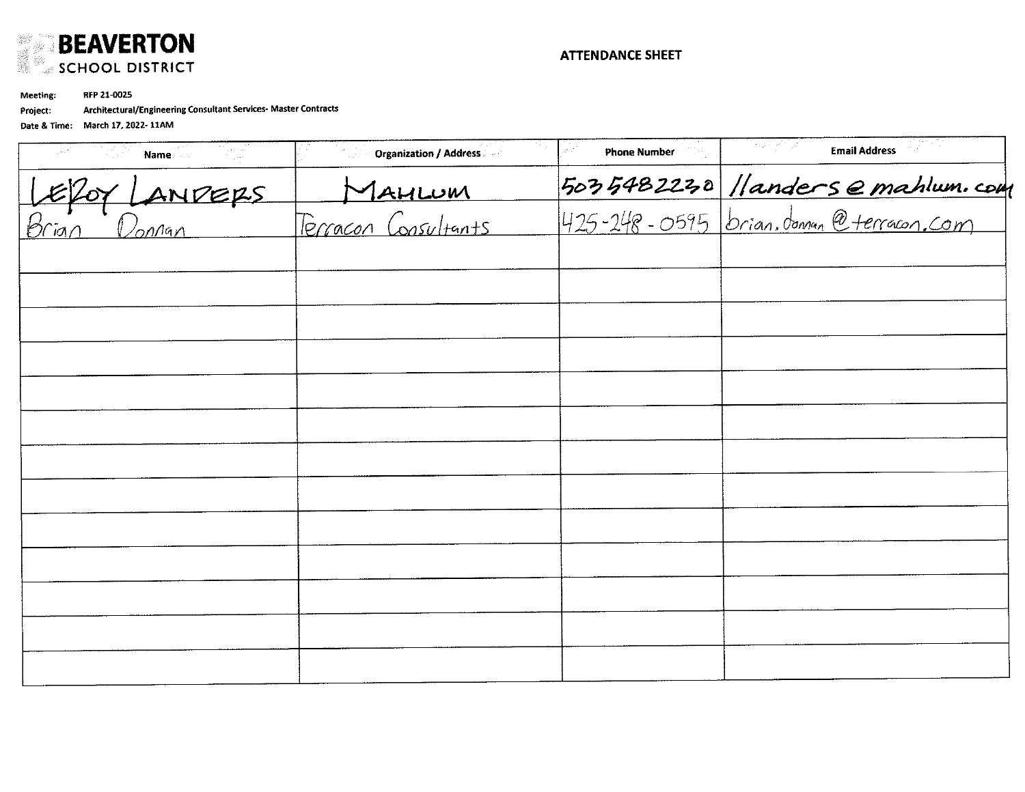

RFP 21-0025 Meeting:

Architectural/Engineering Consultant Services- Master Contracts Project:

| <b>Email Address</b>                                                     | <b>Phone Number</b> | <b>Organization / Address</b>         | Name         |
|--------------------------------------------------------------------------|---------------------|---------------------------------------|--------------|
| 5035482230 //andersemahlum.com<br>425-248-0595 brian.doman @terracon.com |                     |                                       |              |
|                                                                          |                     | <u>Maurum</u><br>Ferracon Consultants | Efor LandERS |
|                                                                          |                     |                                       |              |
|                                                                          |                     |                                       |              |
|                                                                          |                     |                                       |              |
|                                                                          |                     |                                       |              |
|                                                                          |                     |                                       |              |
|                                                                          |                     |                                       |              |
|                                                                          |                     |                                       |              |
|                                                                          |                     |                                       |              |
|                                                                          |                     |                                       |              |
|                                                                          |                     |                                       |              |
|                                                                          |                     |                                       |              |
|                                                                          |                     |                                       |              |
|                                                                          |                     |                                       |              |
|                                                                          |                     |                                       |              |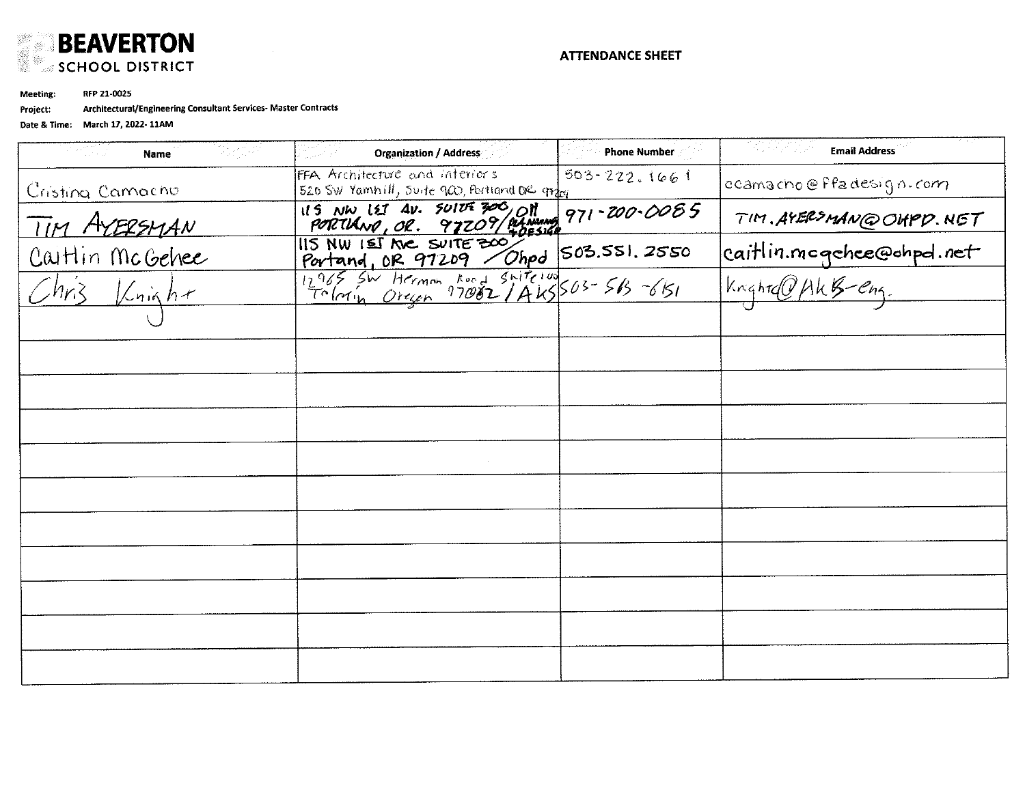

RFP 21-0025 **Meeting:** 

Architectural/Engineering Consultant Services- Master Contracts Project:

| Bigist<br>e estilo<br>Portugale<br>Name         | <b>Organization / Address</b>                                                            | <b>Phone Number</b> | [편집] 전자<br><b>Email Address</b>             |
|-------------------------------------------------|------------------------------------------------------------------------------------------|---------------------|---------------------------------------------|
| Cristina Camacho                                | FFA Architecture and interiors<br>520 SW Yamhill, Suite 900, Portland DR grazy           | $503 - 222.1661$    | ccamacho@ffadesign.com                      |
|                                                 | 115 NW 127 AV. SUITE 300, ON<br>PORTLAND, OR. 97209/04 NAMANG<br>115 NW 151 NC SUITE 300 | 971-200-0085        | TIM. AYERSMAN@OHPD. NET                     |
| Tim ArERSMAN<br>Caitlin McGehee<br>Chris Knight |                                                                                          |                     | caitlin.mogchee@ohpd.net<br>Knightd0/kkbeng |
|                                                 | Portand, OR 97209 TOP 503.551.2550                                                       |                     |                                             |
|                                                 |                                                                                          |                     |                                             |
|                                                 |                                                                                          |                     |                                             |
|                                                 |                                                                                          |                     |                                             |
|                                                 |                                                                                          |                     |                                             |
|                                                 |                                                                                          |                     |                                             |
|                                                 |                                                                                          |                     |                                             |
|                                                 |                                                                                          |                     |                                             |
|                                                 |                                                                                          |                     |                                             |
|                                                 |                                                                                          |                     |                                             |
|                                                 |                                                                                          |                     |                                             |
|                                                 |                                                                                          |                     |                                             |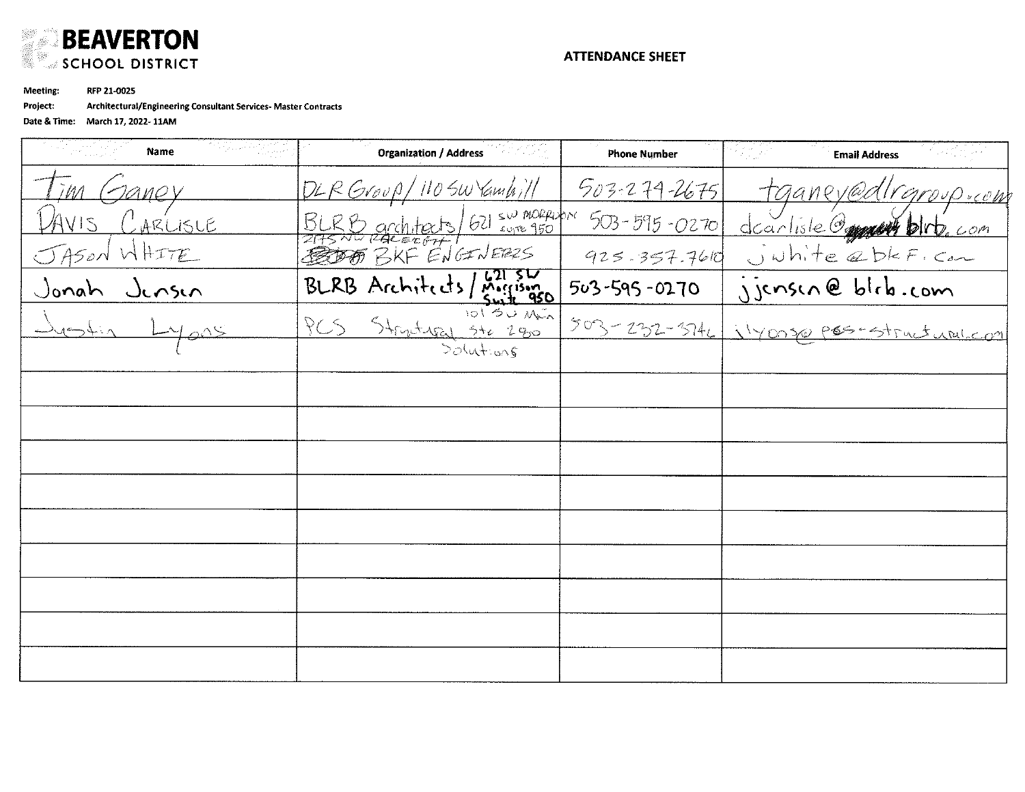

Meeting: RFP 21-0025

Project: Architectural/Engineering Consultant Services- Master Contracts

| 2009/2010<br>Name            | <b>Organization / Address</b> | <b>Phone Number</b> | <b>Email Address</b>                     |
|------------------------------|-------------------------------|---------------------|------------------------------------------|
| Taney                        | DLRGroup/11050Vambill         | $503 - 279 - 2675$  | tganey@dlrgroup.com                      |
| LARLISLE                     | BLRD architects 621 sw mormon | $503 - 595 - 0270$  | dearliste Opper blrb. com                |
| JASON WHITE                  |                               | 925.357.7610        | Juhite abkF. com                         |
| Jonah Jensen<br>Justin Lyons | BLRB Architects/Morrison      | 503-595-0270        | jjensen@bleb.com                         |
|                              | PCS Structured Ste 280        |                     | 503-232-3746 1140050 poss-structural.com |
|                              | $200 + 205$                   |                     |                                          |
|                              |                               |                     |                                          |
|                              |                               |                     |                                          |
|                              |                               |                     |                                          |
|                              |                               |                     |                                          |
|                              |                               |                     |                                          |
|                              |                               |                     |                                          |
|                              |                               |                     |                                          |
|                              |                               |                     |                                          |
|                              |                               |                     |                                          |
|                              |                               |                     |                                          |